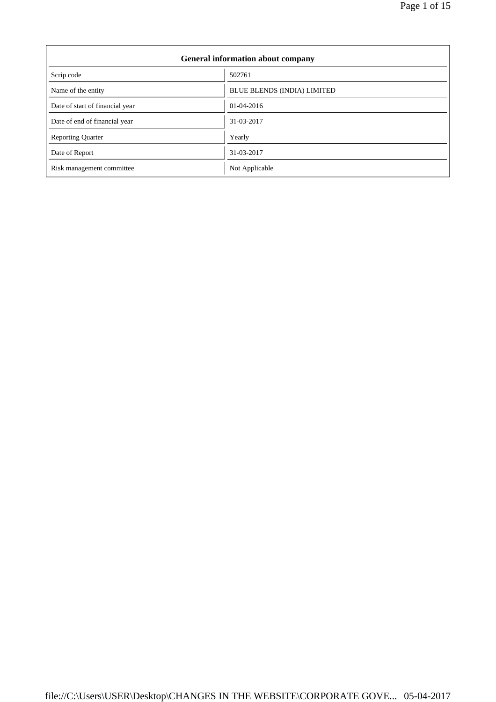7

| <b>General information about company</b> |                                    |  |  |
|------------------------------------------|------------------------------------|--|--|
| Scrip code                               | 502761                             |  |  |
| Name of the entity                       | <b>BLUE BLENDS (INDIA) LIMITED</b> |  |  |
| Date of start of financial year          | 01-04-2016                         |  |  |
| Date of end of financial year            | 31-03-2017                         |  |  |
| <b>Reporting Quarter</b>                 | Yearly                             |  |  |
| Date of Report                           | 31-03-2017                         |  |  |
| Risk management committee                | Not Applicable                     |  |  |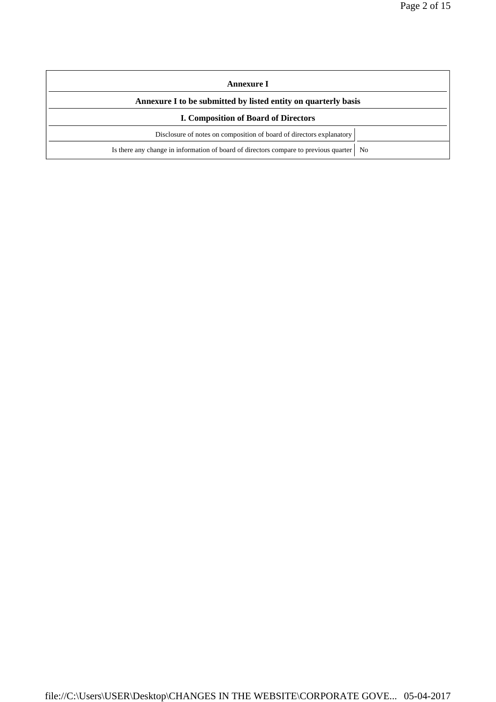| Annexure I                                                                                               |  |  |  |
|----------------------------------------------------------------------------------------------------------|--|--|--|
| Annexure I to be submitted by listed entity on quarterly basis                                           |  |  |  |
| <b>I. Composition of Board of Directors</b>                                                              |  |  |  |
| Disclosure of notes on composition of board of directors explanatory                                     |  |  |  |
| Is there any change in information of board of directors compare to previous quarter  <br>N <sub>0</sub> |  |  |  |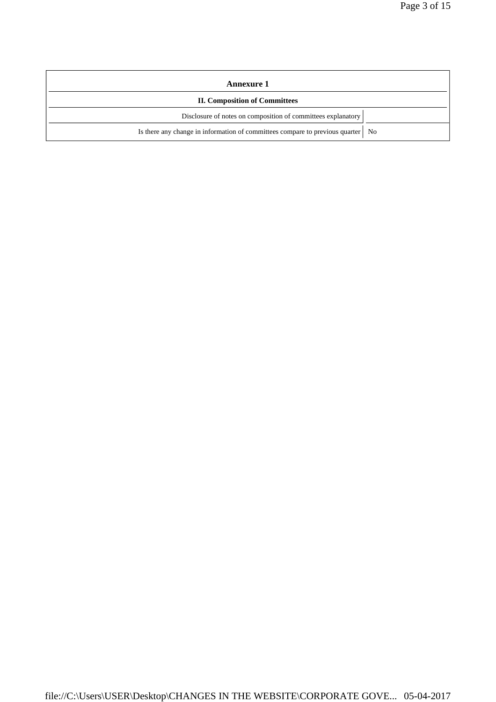| <b>Annexure 1</b>                                                                 |  |  |  |
|-----------------------------------------------------------------------------------|--|--|--|
| <b>II. Composition of Committees</b>                                              |  |  |  |
| Disclosure of notes on composition of committees explanatory                      |  |  |  |
| Is there any change in information of committees compare to previous quarter   No |  |  |  |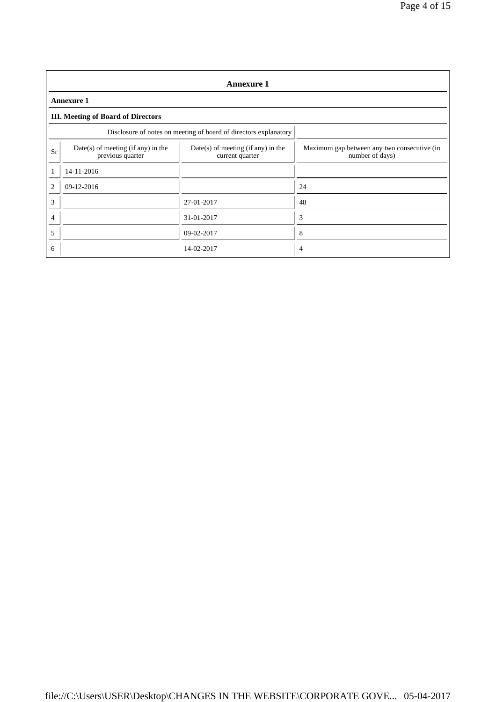|                | <b>Annexure 1</b>                                                |                                                         |                                                                |  |  |  |
|----------------|------------------------------------------------------------------|---------------------------------------------------------|----------------------------------------------------------------|--|--|--|
|                | <b>Annexure 1</b>                                                |                                                         |                                                                |  |  |  |
|                | <b>III.</b> Meeting of Board of Directors                        |                                                         |                                                                |  |  |  |
|                | Disclosure of notes on meeting of board of directors explanatory |                                                         |                                                                |  |  |  |
| Sr             | $Date(s)$ of meeting (if any) in the<br>previous quarter         | $Date(s)$ of meeting (if any) in the<br>current quarter | Maximum gap between any two consecutive (in<br>number of days) |  |  |  |
|                | 14-11-2016                                                       |                                                         |                                                                |  |  |  |
| $\overline{c}$ | $09-12-2016$                                                     |                                                         | 24                                                             |  |  |  |
| 3              |                                                                  | 27-01-2017                                              | 48                                                             |  |  |  |
| 4              |                                                                  | 31-01-2017                                              | 3                                                              |  |  |  |
| 5              |                                                                  | 09-02-2017                                              | 8                                                              |  |  |  |
| 6              |                                                                  | 14-02-2017                                              | 4                                                              |  |  |  |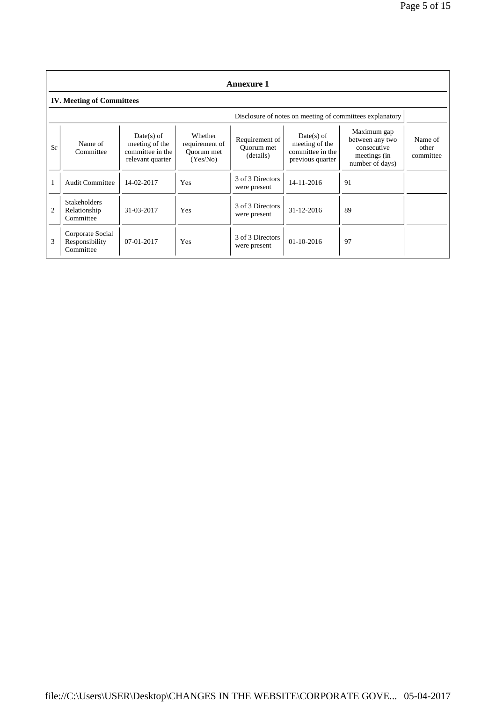|                | <b>Annexure 1</b>                                |                                                                        |                                                     |                                           |                                                                        |                                                                                  |                               |  |
|----------------|--------------------------------------------------|------------------------------------------------------------------------|-----------------------------------------------------|-------------------------------------------|------------------------------------------------------------------------|----------------------------------------------------------------------------------|-------------------------------|--|
|                | <b>IV. Meeting of Committees</b>                 |                                                                        |                                                     |                                           |                                                                        |                                                                                  |                               |  |
|                |                                                  |                                                                        |                                                     |                                           |                                                                        | Disclosure of notes on meeting of committees explanatory                         |                               |  |
| Sr             | Name of<br>Committee                             | $Date(s)$ of<br>meeting of the<br>committee in the<br>relevant quarter | Whether<br>requirement of<br>Ouorum met<br>(Yes/No) | Requirement of<br>Ouorum met<br>(details) | $Date(s)$ of<br>meeting of the<br>committee in the<br>previous quarter | Maximum gap<br>between any two<br>consecutive<br>meetings (in<br>number of days) | Name of<br>other<br>committee |  |
|                | <b>Audit Committee</b>                           | 14-02-2017                                                             | Yes                                                 | 3 of 3 Directors<br>were present          | 14-11-2016                                                             | 91                                                                               |                               |  |
| $\overline{2}$ | <b>Stakeholders</b><br>Relationship<br>Committee | 31-03-2017                                                             | Yes                                                 | 3 of 3 Directors<br>were present          | $31 - 12 - 2016$                                                       | 89                                                                               |                               |  |
| 3              | Corporate Social<br>Responsibility<br>Committee  | $07-01-2017$                                                           | Yes                                                 | 3 of 3 Directors<br>were present          | $01 - 10 - 2016$                                                       | 97                                                                               |                               |  |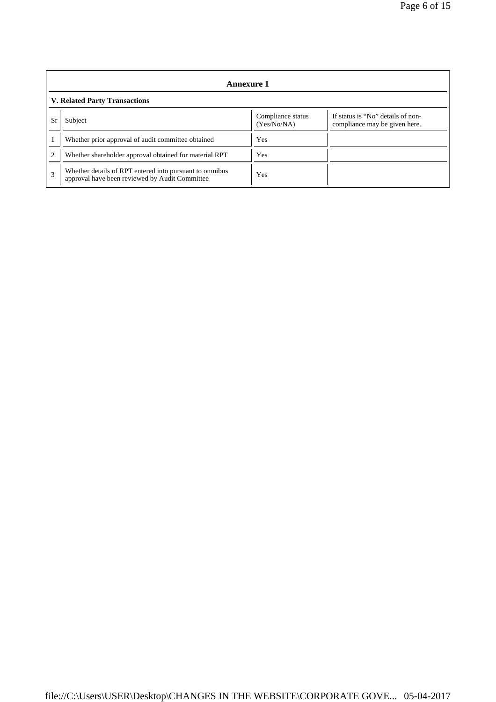|                | Annexure 1                                                                                                |                                  |                                                                    |  |  |  |
|----------------|-----------------------------------------------------------------------------------------------------------|----------------------------------|--------------------------------------------------------------------|--|--|--|
|                | <b>V. Related Party Transactions</b>                                                                      |                                  |                                                                    |  |  |  |
| Sr             | Subject                                                                                                   | Compliance status<br>(Yes/No/NA) | If status is "No" details of non-<br>compliance may be given here. |  |  |  |
|                | Whether prior approval of audit committee obtained                                                        | Yes                              |                                                                    |  |  |  |
| $\overline{c}$ | Whether shareholder approval obtained for material RPT                                                    | Yes                              |                                                                    |  |  |  |
| 3              | Whether details of RPT entered into pursuant to omnibus<br>approval have been reviewed by Audit Committee | Yes                              |                                                                    |  |  |  |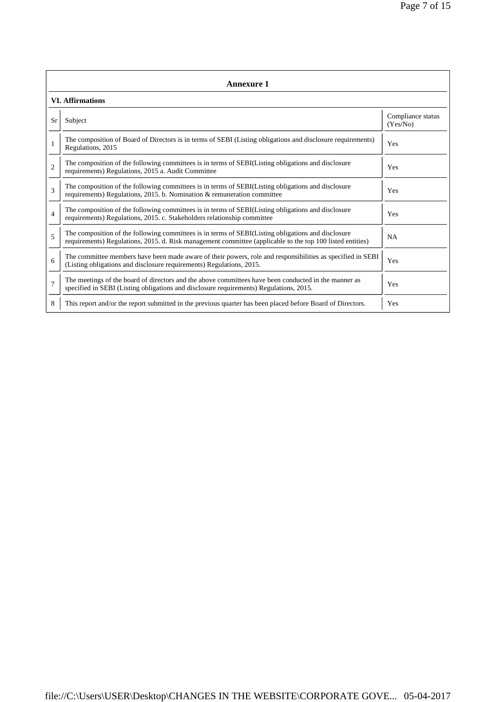|                | <b>Annexure 1</b>                                                                                                                                                                                               |                               |  |  |  |  |
|----------------|-----------------------------------------------------------------------------------------------------------------------------------------------------------------------------------------------------------------|-------------------------------|--|--|--|--|
|                | <b>VI. Affirmations</b>                                                                                                                                                                                         |                               |  |  |  |  |
| Sr             | Subject                                                                                                                                                                                                         | Compliance status<br>(Yes/No) |  |  |  |  |
|                | The composition of Board of Directors is in terms of SEBI (Listing obligations and disclosure requirements)<br>Regulations, 2015                                                                                | Yes                           |  |  |  |  |
| $\overline{c}$ | The composition of the following committees is in terms of SEBI(Listing obligations and disclosure<br>requirements) Regulations, 2015 a. Audit Committee                                                        | Yes                           |  |  |  |  |
| 3              | The composition of the following committees is in terms of SEBI(Listing obligations and disclosure<br>requirements) Regulations, 2015. b. Nomination & remuneration committee                                   | Yes                           |  |  |  |  |
| $\overline{4}$ | The composition of the following committees is in terms of SEBI(Listing obligations and disclosure<br>requirements) Regulations, 2015. c. Stakeholders relationship committee                                   | Yes                           |  |  |  |  |
| 5              | The composition of the following committees is in terms of SEBI(Listing obligations and disclosure<br>requirements) Regulations, 2015. d. Risk management committee (applicable to the top 100 listed entities) | <b>NA</b>                     |  |  |  |  |
| 6              | The committee members have been made aware of their powers, role and responsibilities as specified in SEBI<br>(Listing obligations and disclosure requirements) Regulations, 2015.                              | Yes                           |  |  |  |  |
| $\overline{7}$ | The meetings of the board of directors and the above committees have been conducted in the manner as<br>specified in SEBI (Listing obligations and disclosure requirements) Regulations, 2015.                  | Yes                           |  |  |  |  |
| 8              | This report and/or the report submitted in the previous quarter has been placed before Board of Directors.                                                                                                      | Yes                           |  |  |  |  |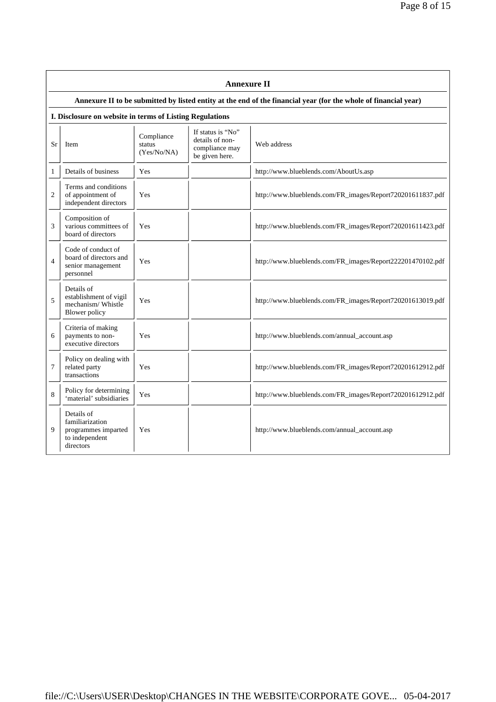|                | <b>Annexure II</b>                                                                  |                                     |                                                                          |                                                                                                                 |  |  |
|----------------|-------------------------------------------------------------------------------------|-------------------------------------|--------------------------------------------------------------------------|-----------------------------------------------------------------------------------------------------------------|--|--|
|                |                                                                                     |                                     |                                                                          | Annexure II to be submitted by listed entity at the end of the financial year (for the whole of financial year) |  |  |
|                | I. Disclosure on website in terms of Listing Regulations                            |                                     |                                                                          |                                                                                                                 |  |  |
| Sr             | Item                                                                                | Compliance<br>status<br>(Yes/No/NA) | If status is "No"<br>details of non-<br>compliance may<br>be given here. | Web address                                                                                                     |  |  |
| 1              | Details of business                                                                 | Yes                                 |                                                                          | http://www.blueblends.com/AboutUs.asp                                                                           |  |  |
| $\overline{2}$ | Terms and conditions<br>of appointment of<br>independent directors                  | Yes                                 |                                                                          | http://www.blueblends.com/FR_images/Report720201611837.pdf                                                      |  |  |
| 3              | Composition of<br>various committees of<br>board of directors                       | Yes                                 |                                                                          | http://www.blueblends.com/FR_images/Report720201611423.pdf                                                      |  |  |
| $\overline{4}$ | Code of conduct of<br>board of directors and<br>senior management<br>personnel      | Yes                                 |                                                                          | http://www.blueblends.com/FR_images/Report222201470102.pdf                                                      |  |  |
| 5              | Details of<br>establishment of vigil<br>mechanism/Whistle<br><b>Blower</b> policy   | Yes                                 |                                                                          | http://www.blueblends.com/FR_images/Report720201613019.pdf                                                      |  |  |
| 6              | Criteria of making<br>payments to non-<br>executive directors                       | Yes                                 |                                                                          | http://www.blueblends.com/annual_account.asp                                                                    |  |  |
| 7              | Policy on dealing with<br>related party<br>transactions                             | Yes                                 |                                                                          | http://www.blueblends.com/FR_images/Report720201612912.pdf                                                      |  |  |
| 8              | Policy for determining<br>'material' subsidiaries                                   | Yes                                 |                                                                          | http://www.blueblends.com/FR_images/Report720201612912.pdf                                                      |  |  |
| 9              | Details of<br>familiarization<br>programmes imparted<br>to independent<br>directors | Yes                                 |                                                                          | http://www.blueblends.com/annual_account.asp                                                                    |  |  |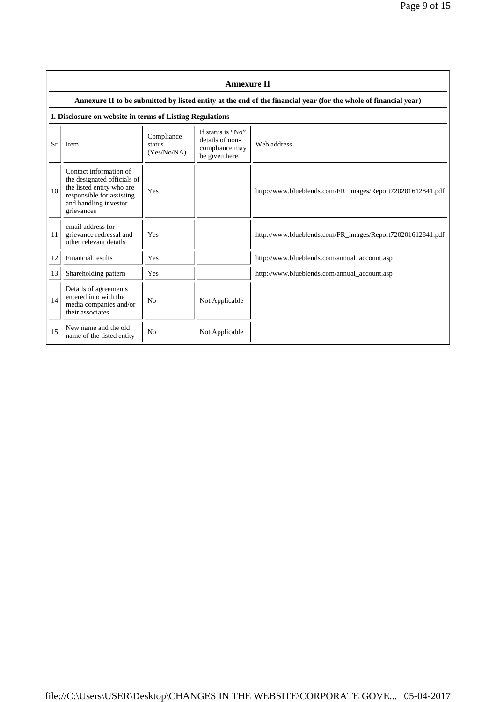|    | <b>Annexure II</b>                                                                                                                                     |                                     |                                                                          |                                                                                                                 |  |  |
|----|--------------------------------------------------------------------------------------------------------------------------------------------------------|-------------------------------------|--------------------------------------------------------------------------|-----------------------------------------------------------------------------------------------------------------|--|--|
|    |                                                                                                                                                        |                                     |                                                                          | Annexure II to be submitted by listed entity at the end of the financial year (for the whole of financial year) |  |  |
|    | I. Disclosure on website in terms of Listing Regulations                                                                                               |                                     |                                                                          |                                                                                                                 |  |  |
| Sr | Item                                                                                                                                                   | Compliance<br>status<br>(Yes/No/NA) | If status is "No"<br>details of non-<br>compliance may<br>be given here. | Web address                                                                                                     |  |  |
| 10 | Contact information of<br>the designated officials of<br>the listed entity who are<br>responsible for assisting<br>and handling investor<br>grievances | Yes                                 |                                                                          | http://www.blueblends.com/FR_images/Report720201612841.pdf                                                      |  |  |
| 11 | email address for<br>grievance redressal and<br>other relevant details                                                                                 | Yes                                 |                                                                          | http://www.blueblends.com/FR_images/Report720201612841.pdf                                                      |  |  |
| 12 | Financial results                                                                                                                                      | Yes                                 |                                                                          | http://www.blueblends.com/annual_account.asp                                                                    |  |  |
| 13 | Shareholding pattern                                                                                                                                   | Yes                                 |                                                                          | http://www.blueblends.com/annual_account.asp                                                                    |  |  |
| 14 | Details of agreements<br>entered into with the<br>media companies and/or<br>their associates                                                           | N <sub>0</sub>                      | Not Applicable                                                           |                                                                                                                 |  |  |
| 15 | New name and the old<br>name of the listed entity                                                                                                      | N <sub>0</sub>                      | Not Applicable                                                           |                                                                                                                 |  |  |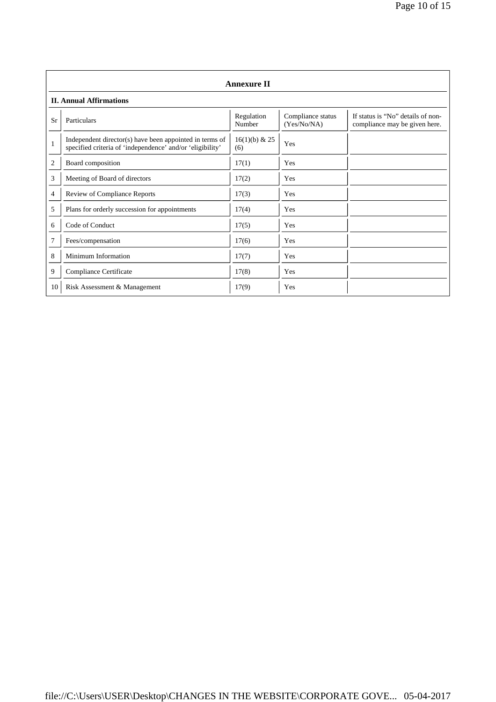|                | <b>Annexure II</b>                                                                                                   |                        |                                  |                                                                    |  |  |
|----------------|----------------------------------------------------------------------------------------------------------------------|------------------------|----------------------------------|--------------------------------------------------------------------|--|--|
|                | <b>II. Annual Affirmations</b>                                                                                       |                        |                                  |                                                                    |  |  |
| Sr             | Particulars                                                                                                          | Regulation<br>Number   | Compliance status<br>(Yes/No/NA) | If status is "No" details of non-<br>compliance may be given here. |  |  |
| $\mathbf{1}$   | Independent director(s) have been appointed in terms of<br>specified criteria of 'independence' and/or 'eligibility' | $16(1)(b)$ & 25<br>(6) | Yes                              |                                                                    |  |  |
| $\overline{2}$ | Board composition                                                                                                    | 17(1)                  | Yes                              |                                                                    |  |  |
| 3              | Meeting of Board of directors                                                                                        | 17(2)                  | Yes                              |                                                                    |  |  |
| $\overline{4}$ | Review of Compliance Reports                                                                                         | 17(3)                  | Yes                              |                                                                    |  |  |
| 5              | Plans for orderly succession for appointments                                                                        | 17(4)                  | Yes                              |                                                                    |  |  |
| 6              | Code of Conduct                                                                                                      | 17(5)                  | Yes                              |                                                                    |  |  |
| 7              | Fees/compensation                                                                                                    | 17(6)                  | Yes                              |                                                                    |  |  |
| 8              | Minimum Information                                                                                                  | 17(7)                  | Yes                              |                                                                    |  |  |
| 9              | Compliance Certificate                                                                                               | 17(8)                  | Yes                              |                                                                    |  |  |
| 10             | Risk Assessment & Management                                                                                         | 17(9)                  | Yes                              |                                                                    |  |  |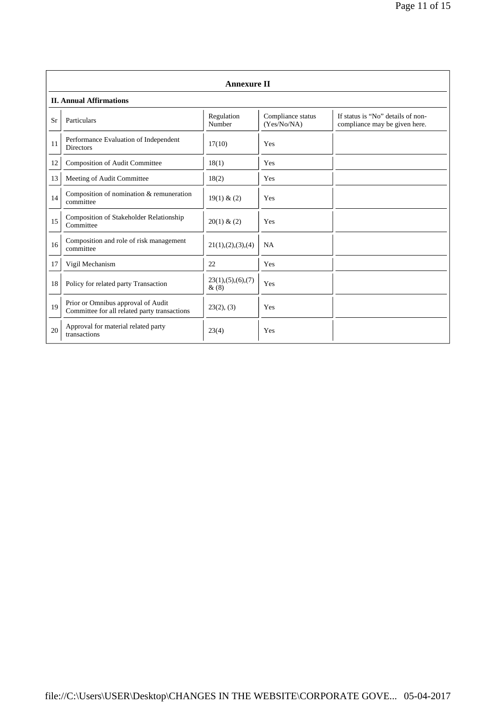|           | <b>Annexure II</b>                                                                 |                              |                                  |                                                                    |  |
|-----------|------------------------------------------------------------------------------------|------------------------------|----------------------------------|--------------------------------------------------------------------|--|
|           | <b>II. Annual Affirmations</b>                                                     |                              |                                  |                                                                    |  |
| <b>Sr</b> | Particulars                                                                        | Regulation<br>Number         | Compliance status<br>(Yes/No/NA) | If status is "No" details of non-<br>compliance may be given here. |  |
| 11        | Performance Evaluation of Independent<br><b>Directors</b>                          | 17(10)                       | Yes                              |                                                                    |  |
| 12        | Composition of Audit Committee                                                     | 18(1)                        | Yes                              |                                                                    |  |
| 13        | Meeting of Audit Committee                                                         | 18(2)                        | Yes                              |                                                                    |  |
| 14        | Composition of nomination & remuneration<br>committee                              | 19(1) & (2)                  | Yes                              |                                                                    |  |
| 15        | Composition of Stakeholder Relationship<br>Committee                               | 20(1) & (2)                  | Yes                              |                                                                    |  |
| 16        | Composition and role of risk management<br>committee                               | 21(1), (2), (3), (4)         | <b>NA</b>                        |                                                                    |  |
| 17        | Vigil Mechanism                                                                    | 22                           | Yes                              |                                                                    |  |
| 18        | Policy for related party Transaction                                               | 23(1), (5), (6), (7)<br>&(8) | Yes                              |                                                                    |  |
| 19        | Prior or Omnibus approval of Audit<br>Committee for all related party transactions | 23(2), (3)                   | Yes                              |                                                                    |  |
| 20        | Approval for material related party<br>transactions                                | 23(4)                        | Yes                              |                                                                    |  |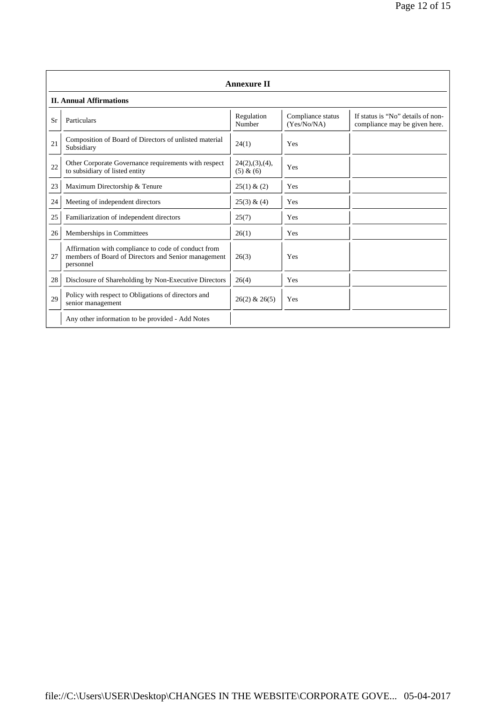|    | <b>Annexure II</b>                                                                                                      |                             |                                  |                                                                    |  |  |
|----|-------------------------------------------------------------------------------------------------------------------------|-----------------------------|----------------------------------|--------------------------------------------------------------------|--|--|
|    | <b>II. Annual Affirmations</b>                                                                                          |                             |                                  |                                                                    |  |  |
| Sr | Particulars                                                                                                             | Regulation<br>Number        | Compliance status<br>(Yes/No/NA) | If status is "No" details of non-<br>compliance may be given here. |  |  |
| 21 | Composition of Board of Directors of unlisted material<br>Subsidiary                                                    | 24(1)                       | Yes                              |                                                                    |  |  |
| 22 | Other Corporate Governance requirements with respect<br>to subsidiary of listed entity                                  | 24(2),(3),(4),<br>(5) & (6) | Yes                              |                                                                    |  |  |
| 23 | Maximum Directorship & Tenure                                                                                           | 25(1) & (2)                 | Yes                              |                                                                    |  |  |
| 24 | Meeting of independent directors                                                                                        | 25(3) & (4)                 | Yes                              |                                                                    |  |  |
| 25 | Familiarization of independent directors                                                                                | 25(7)                       | Yes                              |                                                                    |  |  |
| 26 | Memberships in Committees                                                                                               | 26(1)                       | Yes                              |                                                                    |  |  |
| 27 | Affirmation with compliance to code of conduct from<br>members of Board of Directors and Senior management<br>personnel | 26(3)                       | Yes                              |                                                                    |  |  |
| 28 | Disclosure of Shareholding by Non-Executive Directors                                                                   | 26(4)                       | Yes                              |                                                                    |  |  |
| 29 | Policy with respect to Obligations of directors and<br>senior management                                                | $26(2)$ & $26(5)$           | Yes                              |                                                                    |  |  |
|    | Any other information to be provided - Add Notes                                                                        |                             |                                  |                                                                    |  |  |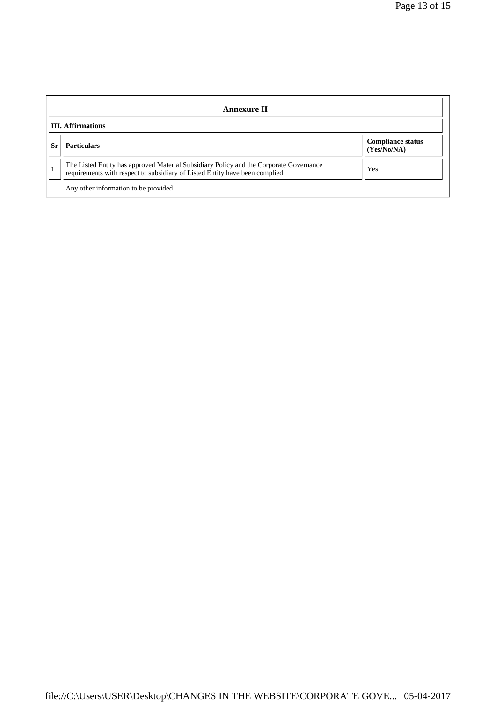| <b>Annexure II</b>       |                                                                                                                                                                       |                                         |  |
|--------------------------|-----------------------------------------------------------------------------------------------------------------------------------------------------------------------|-----------------------------------------|--|
| <b>III.</b> Affirmations |                                                                                                                                                                       |                                         |  |
| Sr                       | <b>Particulars</b>                                                                                                                                                    | <b>Compliance status</b><br>(Yes/No/NA) |  |
|                          | The Listed Entity has approved Material Subsidiary Policy and the Corporate Governance<br>requirements with respect to subsidiary of Listed Entity have been complied | Yes                                     |  |
|                          | Any other information to be provided                                                                                                                                  |                                         |  |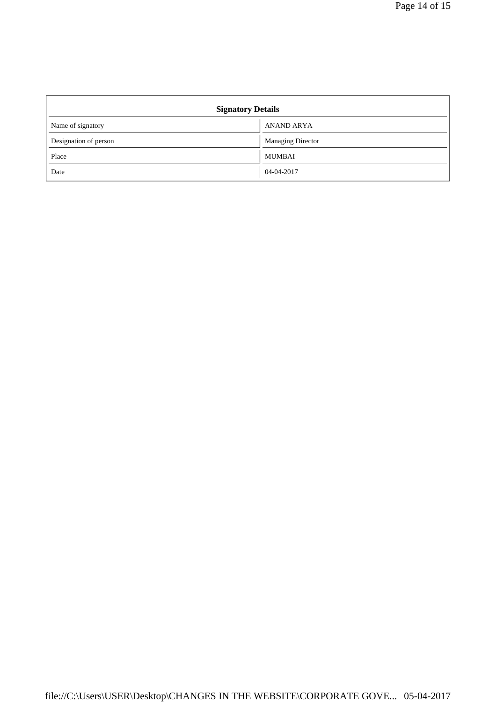| <b>Signatory Details</b> |                          |  |
|--------------------------|--------------------------|--|
| Name of signatory        | <b>ANAND ARYA</b>        |  |
| Designation of person    | <b>Managing Director</b> |  |
| Place                    | <b>MUMBAI</b>            |  |
| Date                     | 04-04-2017               |  |